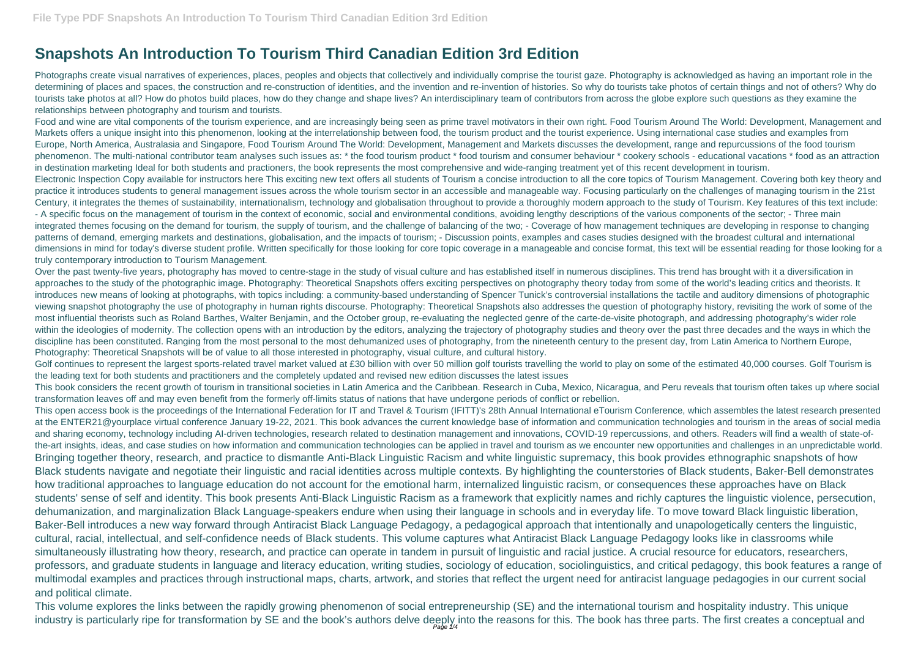## **Snapshots An Introduction To Tourism Third Canadian Edition 3rd Edition**

Photographs create visual narratives of experiences, places, peoples and objects that collectively and individually comprise the tourist gaze. Photography is acknowledged as having an important role in the determining of places and spaces, the construction and re-construction of identities, and the invention and re-invention of histories. So why do tourists take photos of certain things and not of others? Why do tourists take photos at all? How do photos build places, how do they change and shape lives? An interdisciplinary team of contributors from across the globe explore such questions as they examine the relationships between photography and tourism and tourists.

Food and wine are vital components of the tourism experience, and are increasingly being seen as prime travel motivators in their own right. Food Tourism Around The World: Development, Management and Markets offers a unique insight into this phenomenon, looking at the interrelationship between food, the tourism product and the tourist experience. Using international case studies and examples from Europe, North America, Australasia and Singapore, Food Tourism Around The World: Development, Management and Markets discusses the development, range and repurcussions of the food tourism phenomenon. The multi-national contributor team analyses such issues as: \* the food tourism product \* food tourism and consumer behaviour \* cookery schools - educational vacations \* food as an attraction in destination marketing Ideal for both students and practioners, the book represents the most comprehensive and wide-ranging treatment yet of this recent development in tourism. Electronic Inspection Copy available for instructors here This exciting new text offers all students of Tourism a concise introduction to all the core topics of Tourism Management. Covering both key theory and practice it introduces students to general management issues across the whole tourism sector in an accessible and manageable way. Focusing particularly on the challenges of managing tourism in the 21st Century, it integrates the themes of sustainability, internationalism, technology and globalisation throughout to provide a thoroughly modern approach to the study of Tourism. Key features of this text include: - A specific focus on the management of tourism in the context of economic, social and environmental conditions, avoiding lengthy descriptions of the various components of the sector; - Three main integrated themes focusing on the demand for tourism, the supply of tourism, and the challenge of balancing of the two; - Coverage of how management techniques are developing in response to changing patterns of demand, emerging markets and destinations, globalisation, and the impacts of tourism; - Discussion points, examples and cases studies designed with the broadest cultural and international dimensions in mind for today's diverse student profile. Written specifically for those looking for core topic coverage in a manageable and concise format, this text will be essential reading for those looking for a truly contemporary introduction to Tourism Management.

Golf continues to represent the largest sports-related travel market valued at £30 billion with over 50 million golf tourists travelling the world to play on some of the estimated 40,000 courses. Golf Tourism is the leading text for both students and practitioners and the completely updated and revised new edition discusses the latest issues

This volume explores the links between the rapidly growing phenomenon of social entrepreneurship (SE) and the international tourism and hospitality industry. This unique industry is particularly ripe for transformation by SE and the book's authors delve deeply into the reasons for this. The book has three parts. The first creates a conceptual and

Over the past twenty-five years, photography has moved to centre-stage in the study of visual culture and has established itself in numerous disciplines. This trend has brought with it a diversification in approaches to the study of the photographic image. Photography: Theoretical Snapshots offers exciting perspectives on photography theory today from some of the world's leading critics and theorists. It introduces new means of looking at photographs, with topics including: a community-based understanding of Spencer Tunick's controversial installations the tactile and auditory dimensions of photographic viewing snapshot photography the use of photography in human rights discourse. Photography: Theoretical Snapshots also addresses the question of photography history, revisiting the work of some of the most influential theorists such as Roland Barthes, Walter Benjamin, and the October group, re-evaluating the neglected genre of the carte-de-visite photograph, and addressing photography's wider role within the ideologies of modernity. The collection opens with an introduction by the editors, analyzing the trajectory of photography studies and theory over the past three decades and the ways in which the discipline has been constituted. Ranging from the most personal to the most dehumanized uses of photography, from the nineteenth century to the present day, from Latin America to Northern Europe, Photography: Theoretical Snapshots will be of value to all those interested in photography, visual culture, and cultural history.

This book considers the recent growth of tourism in transitional societies in Latin America and the Caribbean. Research in Cuba, Mexico, Nicaragua, and Peru reveals that tourism often takes up where social transformation leaves off and may even benefit from the formerly off-limits status of nations that have undergone periods of conflict or rebellion.

This open access book is the proceedings of the International Federation for IT and Travel & Tourism (IFITT)'s 28th Annual International eTourism Conference, which assembles the latest research presented at the ENTER21@yourplace virtual conference January 19-22, 2021. This book advances the current knowledge base of information and communication technologies and tourism in the areas of social media and sharing economy, technology including AI-driven technologies, research related to destination management and innovations, COVID-19 repercussions, and others. Readers will find a wealth of state-ofthe-art insights, ideas, and case studies on how information and communication technologies can be applied in travel and tourism as we encounter new opportunities and challenges in an unpredictable world. Bringing together theory, research, and practice to dismantle Anti-Black Linguistic Racism and white linguistic supremacy, this book provides ethnographic snapshots of how Black students navigate and negotiate their linguistic and racial identities across multiple contexts. By highlighting the counterstories of Black students, Baker-Bell demonstrates how traditional approaches to language education do not account for the emotional harm, internalized linguistic racism, or consequences these approaches have on Black students' sense of self and identity. This book presents Anti-Black Linguistic Racism as a framework that explicitly names and richly captures the linguistic violence, persecution, dehumanization, and marginalization Black Language-speakers endure when using their language in schools and in everyday life. To move toward Black linguistic liberation, Baker-Bell introduces a new way forward through Antiracist Black Language Pedagogy, a pedagogical approach that intentionally and unapologetically centers the linguistic, cultural, racial, intellectual, and self-confidence needs of Black students. This volume captures what Antiracist Black Language Pedagogy looks like in classrooms while simultaneously illustrating how theory, research, and practice can operate in tandem in pursuit of linguistic and racial justice. A crucial resource for educators, researchers, professors, and graduate students in language and literacy education, writing studies, sociology of education, sociolinguistics, and critical pedagogy, this book features a range of multimodal examples and practices through instructional maps, charts, artwork, and stories that reflect the urgent need for antiracist language pedagogies in our current social and political climate.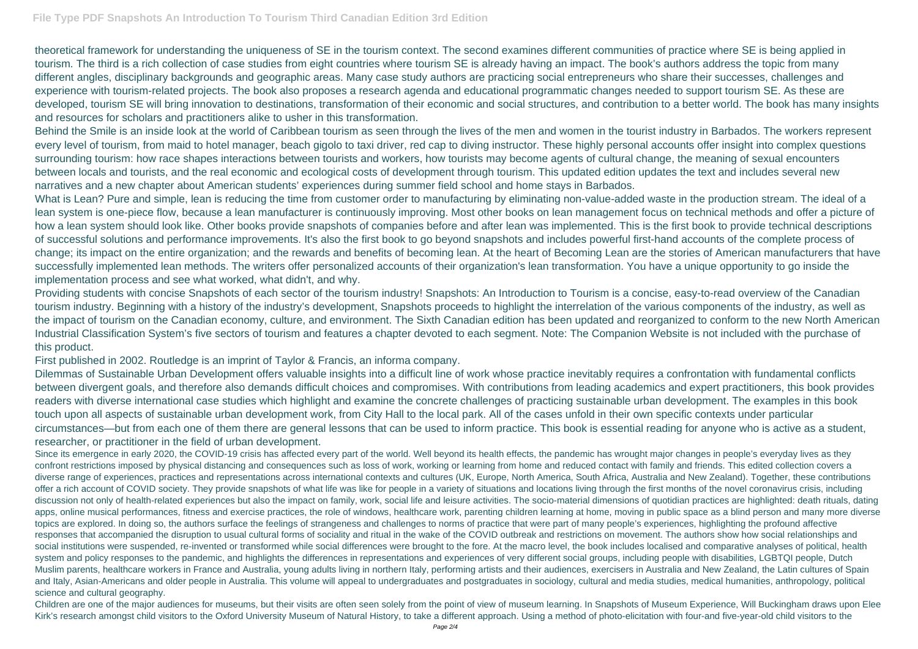theoretical framework for understanding the uniqueness of SE in the tourism context. The second examines different communities of practice where SE is being applied in tourism. The third is a rich collection of case studies from eight countries where tourism SE is already having an impact. The book's authors address the topic from many different angles, disciplinary backgrounds and geographic areas. Many case study authors are practicing social entrepreneurs who share their successes, challenges and experience with tourism-related projects. The book also proposes a research agenda and educational programmatic changes needed to support tourism SE. As these are developed, tourism SE will bring innovation to destinations, transformation of their economic and social structures, and contribution to a better world. The book has many insights and resources for scholars and practitioners alike to usher in this transformation.

Behind the Smile is an inside look at the world of Caribbean tourism as seen through the lives of the men and women in the tourist industry in Barbados. The workers represent every level of tourism, from maid to hotel manager, beach gigolo to taxi driver, red cap to diving instructor. These highly personal accounts offer insight into complex questions surrounding tourism: how race shapes interactions between tourists and workers, how tourists may become agents of cultural change, the meaning of sexual encounters between locals and tourists, and the real economic and ecological costs of development through tourism. This updated edition updates the text and includes several new narratives and a new chapter about American students' experiences during summer field school and home stays in Barbados.

What is Lean? Pure and simple, lean is reducing the time from customer order to manufacturing by eliminating non-value-added waste in the production stream. The ideal of a lean system is one-piece flow, because a lean manufacturer is continuously improving. Most other books on lean management focus on technical methods and offer a picture of how a lean system should look like. Other books provide snapshots of companies before and after lean was implemented. This is the first book to provide technical descriptions of successful solutions and performance improvements. It's also the first book to go beyond snapshots and includes powerful first-hand accounts of the complete process of change; its impact on the entire organization; and the rewards and benefits of becoming lean. At the heart of Becoming Lean are the stories of American manufacturers that have successfully implemented lean methods. The writers offer personalized accounts of their organization's lean transformation. You have a unique opportunity to go inside the implementation process and see what worked, what didn't, and why.

Providing students with concise Snapshots of each sector of the tourism industry! Snapshots: An Introduction to Tourism is a concise, easy-to-read overview of the Canadian tourism industry. Beginning with a history of the industry's development, Snapshots proceeds to highlight the interrelation of the various components of the industry, as well as the impact of tourism on the Canadian economy, culture, and environment. The Sixth Canadian edition has been updated and reorganized to conform to the new North American Industrial Classification System's five sectors of tourism and features a chapter devoted to each segment. Note: The Companion Website is not included with the purchase of this product.

Since its emergence in early 2020, the COVID-19 crisis has affected every part of the world. Well beyond its health effects, the pandemic has wrought major changes in people's everyday lives as they confront restrictions imposed by physical distancing and consequences such as loss of work, working or learning from home and reduced contact with family and friends. This edited collection covers a diverse range of experiences, practices and representations across international contexts and cultures (UK, Europe, North America, South Africa, Australia and New Zealand). Together, these contributions offer a rich account of COVID society. They provide snapshots of what life was like for people in a variety of situations and locations living through the first months of the novel coronavirus crisis, including discussion not only of health-related experiences but also the impact on family, work, social life and leisure activities. The socio-material dimensions of quotidian practices are highlighted: death rituals, dating apps, online musical performances, fitness and exercise practices, the role of windows, healthcare work, parenting children learning at home, moving in public space as a blind person and many more diverse topics are explored. In doing so, the authors surface the feelings of strangeness and challenges to norms of practice that were part of many people's experiences, highlighting the profound affective responses that accompanied the disruption to usual cultural forms of sociality and ritual in the wake of the COVID outbreak and restrictions on movement. The authors show how social relationships and social institutions were suspended, re-invented or transformed while social differences were brought to the fore. At the macro level, the book includes localised and comparative analyses of political, health system and policy responses to the pandemic, and highlights the differences in representations and experiences of very different social groups, including people with disabilities, LGBTQI people, Dutch Muslim parents, healthcare workers in France and Australia, young adults living in northern Italy, performing artists and their audiences, exercisers in Australia and New Zealand, the Latin cultures of Spain and Italy, Asian-Americans and older people in Australia. This volume will appeal to undergraduates and postgraduates in sociology, cultural and media studies, medical humanities, anthropology, political science and cultural geography.

Children are one of the major audiences for museums, but their visits are often seen solely from the point of view of museum learning. In Snapshots of Museum Experience, Will Buckingham draws upon Elee Kirk's research amongst child visitors to the Oxford University Museum of Natural History, to take a different approach. Using a method of photo-elicitation with four-and five-year-old child visitors to the

First published in 2002. Routledge is an imprint of Taylor & Francis, an informa company.

Dilemmas of Sustainable Urban Development offers valuable insights into a difficult line of work whose practice inevitably requires a confrontation with fundamental conflicts between divergent goals, and therefore also demands difficult choices and compromises. With contributions from leading academics and expert practitioners, this book provides readers with diverse international case studies which highlight and examine the concrete challenges of practicing sustainable urban development. The examples in this book touch upon all aspects of sustainable urban development work, from City Hall to the local park. All of the cases unfold in their own specific contexts under particular circumstances—but from each one of them there are general lessons that can be used to inform practice. This book is essential reading for anyone who is active as a student, researcher, or practitioner in the field of urban development.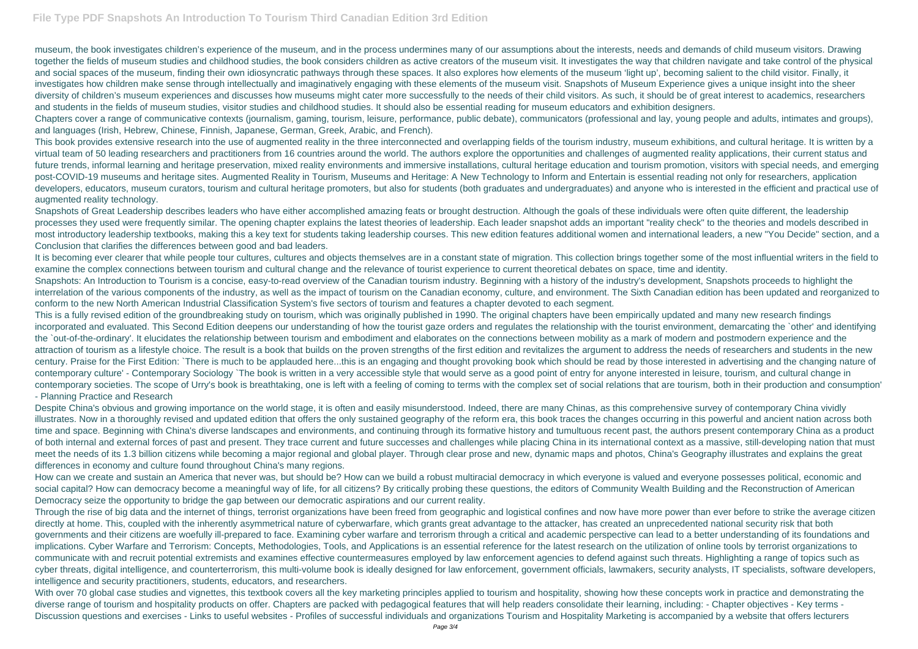## **File Type PDF Snapshots An Introduction To Tourism Third Canadian Edition 3rd Edition**

museum, the book investigates children's experience of the museum, and in the process undermines many of our assumptions about the interests, needs and demands of child museum visitors. Drawing together the fields of museum studies and childhood studies, the book considers children as active creators of the museum visit. It investigates the way that children navigate and take control of the physical and social spaces of the museum, finding their own idiosyncratic pathways through these spaces. It also explores how elements of the museum 'light up', becoming salient to the child visitor. Finally, it investigates how children make sense through intellectually and imaginatively engaging with these elements of the museum visit. Snapshots of Museum Experience gives a unique insight into the sheer diversity of children's museum experiences and discusses how museums might cater more successfully to the needs of their child visitors. As such, it should be of great interest to academics, researchers and students in the fields of museum studies, visitor studies and childhood studies. It should also be essential reading for museum educators and exhibition designers. Chapters cover a range of communicative contexts (journalism, gaming, tourism, leisure, performance, public debate), communicators (professional and lay, young people and adults, intimates and groups), and languages (Irish, Hebrew, Chinese, Finnish, Japanese, German, Greek, Arabic, and French).

This book provides extensive research into the use of augmented reality in the three interconnected and overlapping fields of the tourism industry, museum exhibitions, and cultural heritage. It is written by a virtual team of 50 leading researchers and practitioners from 16 countries around the world. The authors explore the opportunities and challenges of augmented reality applications, their current status and future trends, informal learning and heritage preservation, mixed reality environments and immersive installations, cultural heritage education and tourism promotion, visitors with special needs, and emerging post-COVID-19 museums and heritage sites. Augmented Reality in Tourism, Museums and Heritage: A New Technology to Inform and Entertain is essential reading not only for researchers, application developers, educators, museum curators, tourism and cultural heritage promoters, but also for students (both graduates and undergraduates) and anyone who is interested in the efficient and practical use of augmented reality technology.

This is a fully revised edition of the groundbreaking study on tourism, which was originally published in 1990. The original chapters have been empirically updated and many new research findings incorporated and evaluated. This Second Edition deepens our understanding of how the tourist gaze orders and regulates the relationship with the tourist environment, demarcating the `other' and identifying the `out-of-the-ordinary'. It elucidates the relationship between tourism and embodiment and elaborates on the connections between mobility as a mark of modern and postmodern experience and the attraction of tourism as a lifestyle choice. The result is a book that builds on the proven strengths of the first edition and revitalizes the argument to address the needs of researchers and students in the new century. Praise for the First Edition: `There is much to be applauded here...this is an engaging and thought provoking book which should be read by those interested in advertising and the changing nature of contemporary culture' - Contemporary Sociology `The book is written in a very accessible style that would serve as a good point of entry for anyone interested in leisure, tourism, and cultural change in contemporary societies. The scope of Urry's book is breathtaking, one is left with a feeling of coming to terms with the complex set of social relations that are tourism, both in their production and consumption' - Planning Practice and Research

Snapshots of Great Leadership describes leaders who have either accomplished amazing feats or brought destruction. Although the goals of these individuals were often quite different, the leadership processes they used were frequently similar. The opening chapter explains the latest theories of leadership. Each leader snapshot adds an important "reality check" to the theories and models described in most introductory leadership textbooks, making this a key text for students taking leadership courses. This new edition features additional women and international leaders, a new "You Decide" section, and a Conclusion that clarifies the differences between good and bad leaders.

Despite China's obvious and growing importance on the world stage, it is often and easily misunderstood. Indeed, there are many Chinas, as this comprehensive survey of contemporary China vividly illustrates. Now in a thoroughly revised and updated edition that offers the only sustained geography of the reform era, this book traces the changes occurring in this powerful and ancient nation across both time and space. Beginning with China's diverse landscapes and environments, and continuing through its formative history and tumultuous recent past, the authors present contemporary China as a product of both internal and external forces of past and present. They trace current and future successes and challenges while placing China in its international context as a massive, still-developing nation that must meet the needs of its 1.3 billion citizens while becoming a major regional and global player. Through clear prose and new, dynamic maps and photos, China's Geography illustrates and explains the great differences in economy and culture found throughout China's many regions.

It is becoming ever clearer that while people tour cultures, cultures and objects themselves are in a constant state of migration. This collection brings together some of the most influential writers in the field to examine the complex connections between tourism and cultural change and the relevance of tourist experience to current theoretical debates on space, time and identity. Snapshots: An Introduction to Tourism is a concise, easy-to-read overview of the Canadian tourism industry. Beginning with a history of the industry's development, Snapshots proceeds to highlight the interrelation of the various components of the industry, as well as the impact of tourism on the Canadian economy, culture, and environment. The Sixth Canadian edition has been updated and reorganized to conform to the new North American Industrial Classification System's five sectors of tourism and features a chapter devoted to each segment.

With over 70 global case studies and vignettes, this textbook covers all the key marketing principles applied to tourism and hospitality, showing how these concepts work in practice and demonstrating the diverse range of tourism and hospitality products on offer. Chapters are packed with pedagogical features that will help readers consolidate their learning, including: - Chapter objectives - Key terms - Discussion questions and exercises - Links to useful websites - Profiles of successful individuals and organizations Tourism and Hospitality Marketing is accompanied by a website that offers lecturers

How can we create and sustain an America that never was, but should be? How can we build a robust multiracial democracy in which everyone is valued and everyone possesses political, economic and social capital? How can democracy become a meaningful way of life, for all citizens? By critically probing these questions, the editors of Community Wealth Building and the Reconstruction of American Democracy seize the opportunity to bridge the gap between our democratic aspirations and our current reality.

Through the rise of big data and the internet of things, terrorist organizations have been freed from geographic and logistical confines and now have more power than ever before to strike the average citizen directly at home. This, coupled with the inherently asymmetrical nature of cyberwarfare, which grants great advantage to the attacker, has created an unprecedented national security risk that both governments and their citizens are woefully ill-prepared to face. Examining cyber warfare and terrorism through a critical and academic perspective can lead to a better understanding of its foundations and implications. Cyber Warfare and Terrorism: Concepts, Methodologies, Tools, and Applications is an essential reference for the latest research on the utilization of online tools by terrorist organizations to communicate with and recruit potential extremists and examines effective countermeasures employed by law enforcement agencies to defend against such threats. Highlighting a range of topics such as cyber threats, digital intelligence, and counterterrorism, this multi-volume book is ideally designed for law enforcement, government officials, lawmakers, security analysts, IT specialists, software developers, intelligence and security practitioners, students, educators, and researchers.